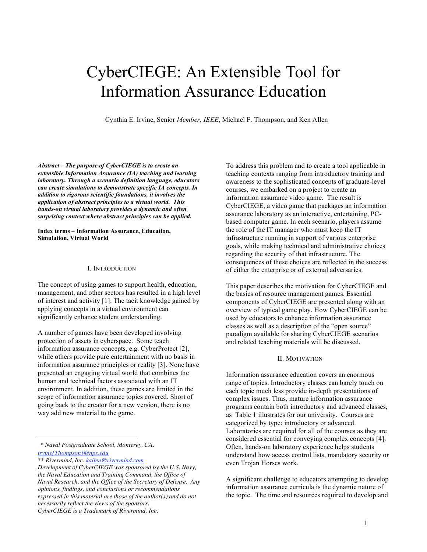# CyberCIEGE: An Extensible Tool for Information Assurance Education

Cynthia E. Irvine, Senior *Member, IEEE*, Michael F. Thompson, and Ken Allen

*Abstract – The purpose of CyberCIEGE is to create an extensible Information Assurance (IA) teaching and learning laboratory. Through a scenario definition language, educators can create simulations to demonstrate specific IA concepts. In addition to rigorous scientific foundations, it involves the application of abstract principles to a virtual world. This hands-on virtual laboratory provides a dynamic and often surprising context where abstract principles can be applied.*

**Index terms – Information Assurance, Education, Simulation, Virtual World**

#### I. INTRODUCTION

The concept of using games to support health, education, management, and other sectors has resulted in a high level of interest and activity [1]. The tacit knowledge gained by applying concepts in a virtual environment can significantly enhance student understanding.

A number of games have been developed involving protection of assets in cyberspace. Some teach information assurance concepts, e.g. CyberProtect [2], while others provide pure entertainment with no basis in information assurance principles or reality [3]. None have presented an engaging virtual world that combines the human and technical factors associated with an IT environment. In addition, these games are limited in the scope of information assurance topics covered. Short of going back to the creator for a new version, there is no way add new material to the game.

*\* Naval Postgraduate School, Monterey, CA. irvine{Thompson}@nps.edu*

*\*\* Rivermind, Inc. kallen@rivermind.com*

1

To address this problem and to create a tool applicable in teaching contexts ranging from introductory training and awareness to the sophisticated concepts of graduate-level courses, we embarked on a project to create an information assurance video game. The result is CyberCIEGE, a video game that packages an information assurance laboratory as an interactive, entertaining, PCbased computer game. In each scenario, players assume the role of the IT manager who must keep the IT infrastructure running in support of various enterprise goals, while making technical and administrative choices regarding the security of that infrastructure. The consequences of these choices are reflected in the success of either the enterprise or of external adversaries.

This paper describes the motivation for CyberCIEGE and the basics of resource management games. Essential components of CyberCIEGE are presented along with an overview of typical game play. How CyberCIEGE can be used by educators to enhance information assurance classes as well as a description of the "open source" paradigm available for sharing CyberCIEGE scenarios and related teaching materials will be discussed.

#### II. MOTIVATION

Information assurance education covers an enormous range of topics. Introductory classes can barely touch on each topic much less provide in-depth presentations of complex issues. Thus, mature information assurance programs contain both introductory and advanced classes, as Table 1 illustrates for our university. Courses are categorized by type: introductory or advanced. Laboratories are required for all of the courses as they are considered essential for conveying complex concepts [4]. Often, hands-on laboratory experience helps students understand how access control lists, mandatory security or even Trojan Horses work.

A significant challenge to educators attempting to develop information assurance curricula is the dynamic nature of the topic. The time and resources required to develop and

*Development of CyberCIEGE was sponsored by the U.S. Navy, the Naval Education and Training Command, the Office of Naval Research, and the Office of the Secretary of Defense. Any opinions, findings, and conclusions or recommendations expressed in this material are those of the author(s) and do not necessarily reflect the views of the sponsors. CyberCIEGE is a Trademark of Rivermind, Inc.*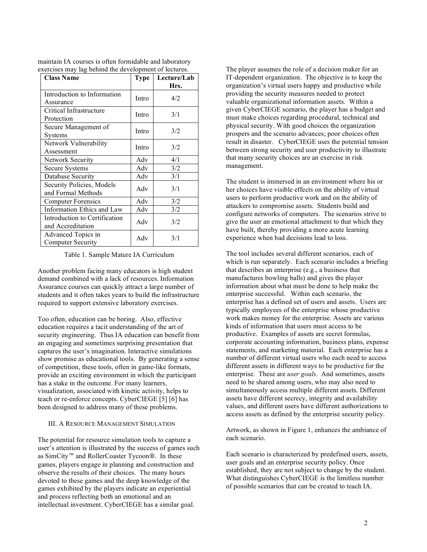| <b>Class Name</b>                                  | <b>Type</b> | Lecture/Lab<br>Hrs. |
|----------------------------------------------------|-------------|---------------------|
| Introduction to Information<br>Assurance           | Intro       | 4/2                 |
| Critical Infrastructure<br>Protection              | Intro       | 3/1                 |
| Secure Management of<br>Systems                    | Intro       | 3/2                 |
| Network Vulnerability<br>Assessment                | Intro       | 3/2                 |
| <b>Network Security</b>                            | Adv         | 4/1                 |
| Secure Systems                                     | Adv         | 3/2                 |
| Database Security                                  | Adv         | 3/1                 |
| Security Policies, Models<br>and Formal Methods    | Adv         | 3/1                 |
| <b>Computer Forensics</b>                          | Adv         | 3/2                 |
| Information Ethics and Law                         | Adv         | 3/2                 |
| Introduction to Certification<br>and Accreditation | Adv         | 3/2                 |
| Advanced Topics in<br><b>Computer Security</b>     | Adv         | 3/1                 |

maintain IA courses is often formidable and laboratory exercises may lag behind the development of lectures.

## Table 1. Sample Mature IA Curriculum

Another problem facing many educators is high student demand combined with a lack of resources. Information Assurance courses can quickly attract a large number of students and it often takes years to build the infrastructure required to support extensive laboratory exercises.

Too often, education can be boring. Also, effective education requires a tacit understanding of the art of security engineering. Thus IA education can benefit from an engaging and sometimes surprising presentation that captures the user's imagination. Interactive simulations show promise as educational tools. By generating a sense of competition, these tools, often in game-like formats, provide an exciting environment in which the participant has a stake in the outcome. For many learners, visualization, associated with kinetic activity, helps to teach or re-enforce concepts. CyberCIEGE [5] [6] has been designed to address many of these problems.

## III. A RESOURCE MANAGEMENT SIMULATION

The potential for resource simulation tools to capture a user's attention is illustrated by the success of games such as SimCity™ and RollerCoaster Tycoon®. In these games, players engage in planning and construction and observe the results of their choices. The many hours devoted to these games and the deep knowledge of the games exhibited by the players indicate an experiential and process reflecting both an emotional and an intellectual investment. CyberCIEGE has a similar goal.

The player assumes the role of a decision maker for an IT-dependent organization. The objective is to keep the organization's virtual users happy and productive while providing the security measures needed to protect valuable organizational information assets. Within a given CyberCIEGE scenario, the player has a budget and must make choices regarding procedural, technical and physical security. With good choices the organization prospers and the scenario advances; poor choices often result in disaster. CyberCIEGE uses the potential tension between strong security and user productivity to illustrate that many security choices are an exercise in risk management.

The student is immersed in an environment where his or her choices have visible effects on the ability of virtual users to perform productive work and on the ability of attackers to compromise assets. Students build and configure networks of computers. The scenarios strive to give the user an emotional attachment to that which they have built, thereby providing a more acute learning experience when bad decisions lead to loss.

The tool includes several different scenarios, each of which is run separately. Each scenario includes a briefing that describes an enterprise (e.g., a business that manufactures bowling balls) and gives the player information about what must be done to help make the enterprise successful. Within each scenario, the enterprise has a defined set of users and assets. Users are typically employees of the enterprise whose productive work makes money for the enterprise. Assets are various kinds of information that users must access to be productive. Examples of assets are secret formulas, corporate accounting information, business plans, expense statements, and marketing material. Each enterprise has a number of different virtual users who each need to access different assets in different ways to be productive for the enterprise. These are *user goals*. And sometimes, assets need to be shared among users, who may also need to simultaneously access multiple different assets. Different assets have different secrecy, integrity and availability values, and different users have different authorizations to access assets as defined by the enterprise security policy.

Artwork, as shown in Figure 1, enhances the ambiance of each scenario.

Each scenario is characterized by predefined users, assets, user goals and an enterprise security policy. Once established, they are not subject to change by the student. What distinguishes CyberCIEGE is the limitless number of possible scenarios that can be created to teach IA.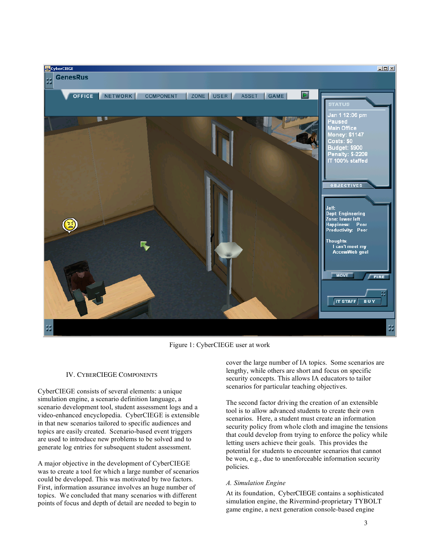

Figure 1: CyberCIEGE user at work

# IV. CYBERCIEGE COMPONENTS

CyberCIEGE consists of several elements: a unique simulation engine, a scenario definition language, a scenario development tool, student assessment logs and a video-enhanced encyclopedia. CyberCIEGE is extensible in that new scenarios tailored to specific audiences and topics are easily created. Scenario-based event triggers are used to introduce new problems to be solved and to generate log entries for subsequent student assessment.

A major objective in the development of CyberCIEGE was to create a tool for which a large number of scenarios could be developed. This was motivated by two factors. First, information assurance involves an huge number of topics. We concluded that many scenarios with different points of focus and depth of detail are needed to begin to

cover the large number of IA topics. Some scenarios are lengthy, while others are short and focus on specific security concepts. This allows IA educators to tailor scenarios for particular teaching objectives.

The second factor driving the creation of an extensible tool is to allow advanced students to create their own scenarios. Here, a student must create an information security policy from whole cloth and imagine the tensions that could develop from trying to enforce the policy while letting users achieve their goals. This provides the potential for students to encounter scenarios that cannot be won, e.g., due to unenforceable information security policies.

# *A. Simulation Engine*

At its foundation, CyberCIEGE contains a sophisticated simulation engine, the Rivermind-proprietary TYBOLT game engine, a next generation console-based engine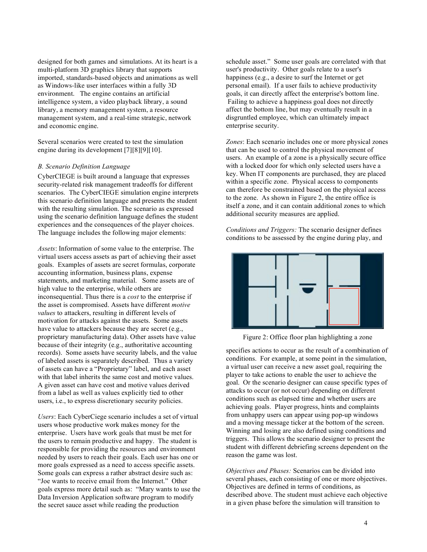designed for both games and simulations. At its heart is a multi-platform 3D graphics library that supports imported, standards-based objects and animations as well as Windows-like user interfaces within a fully 3D environment. The engine contains an artificial intelligence system, a video playback library, a sound library, a memory management system, a resource management system, and a real-time strategic, network and economic engine.

Several scenarios were created to test the simulation engine during its development [7][8][9][10].

### *B. Scenario Definition Language*

CyberCIEGE is built around a language that expresses security-related risk management tradeoffs for different scenarios. The CyberCIEGE simulation engine interprets this scenario definition language and presents the student with the resulting simulation. The scenario as expressed using the scenario definition language defines the student experiences and the consequences of the player choices. The language includes the following major elements:

*Assets*: Information of some value to the enterprise. The virtual users access assets as part of achieving their asset goals. Examples of assets are secret formulas, corporate accounting information, business plans, expense statements, and marketing material. Some assets are of high value to the enterprise, while others are inconsequential. Thus there is a *cost* to the enterprise if the asset is compromised. Assets have different *motive values* to attackers, resulting in different levels of motivation for attacks against the assets. Some assets have value to attackers because they are secret (e.g., proprietary manufacturing data). Other assets have value because of their integrity (e.g., authoritative accounting records). Some assets have security labels, and the value of labeled assets is separately described. Thus a variety of assets can have a "Proprietary" label, and each asset with that label inherits the same cost and motive values. A given asset can have cost and motive values derived from a label as well as values explicitly tied to other users, i.e., to express discretionary security policies.

*Users*: Each CyberCiege scenario includes a set of virtual users whose productive work makes money for the enterprise. Users have work goals that must be met for the users to remain productive and happy. The student is responsible for providing the resources and environment needed by users to reach their goals. Each user has one or more goals expressed as a need to access specific assets. Some goals can express a rather abstract desire such as: "Joe wants to receive email from the Internet." Other goals express more detail such as: "Mary wants to use the Data Inversion Application software program to modify the secret sauce asset while reading the production

schedule asset." Some user goals are correlated with that user's productivity. Other goals relate to a user's happiness (e.g., a desire to surf the Internet or get personal email). If a user fails to achieve productivity goals, it can directly affect the enterprise's bottom line. Failing to achieve a happiness goal does not directly affect the bottom line, but may eventually result in a disgruntled employee, which can ultimately impact enterprise security.

*Zones*: Each scenario includes one or more physical zones that can be used to control the physical movement of users. An example of a zone is a physically secure office with a locked door for which only selected users have a key. When IT components are purchased, they are placed within a specific zone. Physical access to components can therefore be constrained based on the physical access to the zone. As shown in Figure 2, the entire office is itself a zone, and it can contain additional zones to which additional security measures are applied.

*Conditions and Triggers:* The scenario designer defines conditions to be assessed by the engine during play, and



Figure 2: Office floor plan highlighting a zone

specifies actions to occur as the result of a combination of conditions. For example, at some point in the simulation, a virtual user can receive a new asset goal, requiring the player to take actions to enable the user to achieve the goal. Or the scenario designer can cause specific types of attacks to occur (or not occur) depending on different conditions such as elapsed time and whether users are achieving goals. Player progress, hints and complaints from unhappy users can appear using pop-up windows and a moving message ticker at the bottom of the screen. Winning and losing are also defined using conditions and triggers. This allows the scenario designer to present the student with different debriefing screens dependent on the reason the game was lost.

*Objectives and Phases:* Scenarios can be divided into several phases, each consisting of one or more objectives. Objectives are defined in terms of conditions, as described above. The student must achieve each objective in a given phase before the simulation will transition to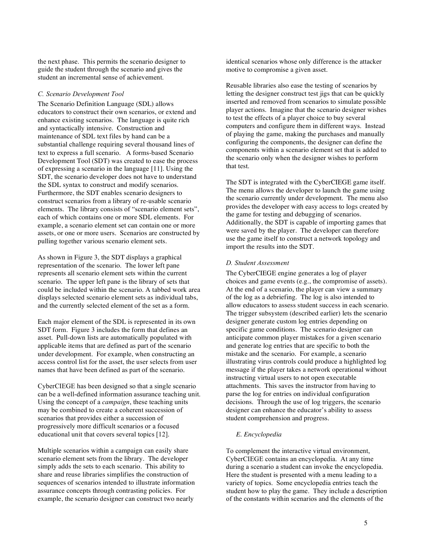the next phase. This permits the scenario designer to guide the student through the scenario and gives the student an incremental sense of achievement.

## *C. Scenario Development Tool*

The Scenario Definition Language (SDL) allows educators to construct their own scenarios, or extend and enhance existing scenarios. The language is quite rich and syntactically intensive. Construction and maintenance of SDL text files by hand can be a substantial challenge requiring several thousand lines of text to express a full scenario. A forms-based Scenario Development Tool (SDT) was created to ease the process of expressing a scenario in the language [11]. Using the SDT, the scenario developer does not have to understand the SDL syntax to construct and modify scenarios. Furthermore, the SDT enables scenario designers to construct scenarios from a library of re-usable scenario elements. The library consists of "scenario element sets", each of which contains one or more SDL elements. For example, a scenario element set can contain one or more assets, or one or more users. Scenarios are constructed by pulling together various scenario element sets.

As shown in Figure 3, the SDT displays a graphical representation of the scenario. The lower left pane represents all scenario element sets within the current scenario. The upper left pane is the library of sets that could be included within the scenario. A tabbed work area displays selected scenario element sets as individual tabs, and the currently selected element of the set as a form.

Each major element of the SDL is represented in its own SDT form. Figure 3 includes the form that defines an asset. Pull-down lists are automatically populated with applicable items that are defined as part of the scenario under development. For example, when constructing an access control list for the asset, the user selects from user names that have been defined as part of the scenario.

CyberCIEGE has been designed so that a single scenario can be a well-defined information assurance teaching unit. Using the concept of a *campaign*, these teaching units may be combined to create a coherent succession of scenarios that provides either a succession of progressively more difficult scenarios or a focused educational unit that covers several topics [12].

Multiple scenarios within a campaign can easily share scenario element sets from the library. The developer simply adds the sets to each scenario. This ability to share and reuse libraries simplifies the construction of sequences of scenarios intended to illustrate information assurance concepts through contrasting policies. For example, the scenario designer can construct two nearly

identical scenarios whose only difference is the attacker motive to compromise a given asset.

Reusable libraries also ease the testing of scenarios by letting the designer construct test jigs that can be quickly inserted and removed from scenarios to simulate possible player actions. Imagine that the scenario designer wishes to test the effects of a player choice to buy several computers and configure them in different ways. Instead of playing the game, making the purchases and manually configuring the components, the designer can define the components within a scenario element set that is added to the scenario only when the designer wishes to perform that test.

The SDT is integrated with the CyberCIEGE game itself. The menu allows the developer to launch the game using the scenario currently under development. The menu also provides the developer with easy access to logs created by the game for testing and debugging of scenarios. Additionally, the SDT is capable of importing games that were saved by the player. The developer can therefore use the game itself to construct a network topology and import the results into the SDT.

## *D. Student Assessment*

The CyberCIEGE engine generates a log of player choices and game events (e.g., the compromise of assets). At the end of a scenario, the player can view a summary of the log as a debriefing. The log is also intended to allow educators to assess student success in each scenario. The trigger subsystem (described earlier) lets the scenario designer generate custom log entries depending on specific game conditions. The scenario designer can anticipate common player mistakes for a given scenario and generate log entries that are specific to both the mistake and the scenario. For example, a scenario illustrating virus controls could produce a highlighted log message if the player takes a network operational without instructing virtual users to not open executable attachments. This saves the instructor from having to parse the log for entries on individual configuration decisions. Through the use of log triggers, the scenario designer can enhance the educator's ability to assess student comprehension and progress.

# *E. Encyclopedia*

To complement the interactive virtual environment, CyberCIEGE contains an encyclopedia. At any time during a scenario a student can invoke the encyclopedia. Here the student is presented with a menu leading to a variety of topics. Some encyclopedia entries teach the student how to play the game. They include a description of the constants within scenarios and the elements of the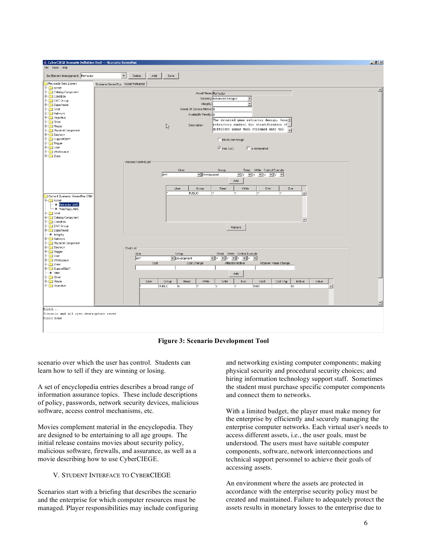

**Figure 3: Scenario Development Tool**

scenario over which the user has control. Students can learn how to tell if they are winning or losing.

A set of encyclopedia entries describes a broad range of information assurance topics. These include descriptions of policy, passwords, network security devices, malicious software, access control mechanisms, etc.

Movies complement material in the encyclopedia. They are designed to be entertaining to all age groups. The initial release contains movies about security policy, malicious software, firewalls, and assurance, as well as a movie describing how to use CyberCIEGE.

# V. STUDENT INTERFACE TO CYBERCIEGE

Scenarios start with a briefing that describes the scenario and the enterprise for which computer resources must be managed. Player responsibilities may include configuring and networking existing computer components; making physical security and procedural security choices; and hiring information technology support staff. Sometimes the student must purchase specific computer components and connect them to networks.

With a limited budget, the player must make money for the enterprise by efficiently and securely managing the enterprise computer networks. Each virtual user's needs to access different assets, i.e., the user goals*,* must be understood. The users must have suitable computer components, software, network interconnections and technical support personnel to achieve their goals of accessing assets.

An environment where the assets are protected in accordance with the enterprise security policy must be created and maintained. Failure to adequately protect the assets results in monetary losses to the enterprise due to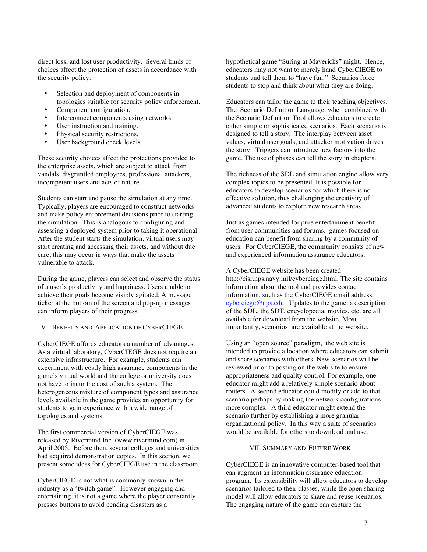direct loss, and lost user productivity. Several kinds of choices affect the protection of assets in accordance with the security policy:

- Selection and deployment of components in topologies suitable for security policy enforcement.
- Component configuration.
- Interconnect components using networks.
- User instruction and training.
- Physical security restrictions.
- User background check levels.

These security choices affect the protections provided to the enterprise assets, which are subject to attack from vandals, disgruntled employees, professional attackers, incompetent users and acts of nature.

Students can start and pause the simulation at any time. Typically, players are encouraged to construct networks and make policy enforcement decisions prior to starting the simulation. This is analogous to configuring and assessing a deployed system prior to taking it operational. After the student starts the simulation, virtual users may start creating and accessing their assets, and without due care, this may occur in ways that make the assets vulnerable to attack.

During the game, players can select and observe the status of a user's productivity and happiness. Users unable to achieve their goals become visibly agitated. A message ticker at the bottom of the screen and pop-up messages can inform players of their progress.

# VI. BENEFITS AND APPLICATION OF CYBERCIEGE

CyberCIEGE affords educators a number of advantages. As a virtual laboratory, CyberCIEGE does not require an extensive infrastructure. For example, students can experiment with costly high assurance components in the game's virtual world and the college or university does not have to incur the cost of such a system. The heterogeneous mixture of component types and assurance levels available in the game provides an opportunity for students to gain experience with a wide range of topologies and systems.

The first commercial version of CyberCIEGE was released by Rivermind Inc. (www.rivermind.com) in April 2005. Before then, several colleges and universities had acquired demonstration copies. In this section, we present some ideas for CyberCIEGE use in the classroom.

CyberCIEGE is not what is commonly known in the industry as a "twitch game". However engaging and entertaining, it is not a game where the player constantly presses buttons to avoid pending disasters as a

hypothetical game "Suring at Mavericks" might. Hence, educators may not want to merely hand CyberCIEGE to students and tell them to "have fun." Scenarios force students to stop and think about what they are doing.

Educators can tailor the game to their teaching objectives. The Scenario Definition Language, when combined with the Scenario Definition Tool allows educators to create either simple or sophisticated scenarios. Each scenario is designed to tell a story. The interplay between asset values, virtual user goals, and attacker motivation drives the story. Triggers can introduce new factors into the game. The use of phases can tell the story in chapters.

The richness of the SDL and simulation engine allow very complex topics to be presented. It is possible for educators to develop scenarios for which there is no effective solution, thus challenging the creativity of advanced students to explore new research areas.

Just as games intended for pure entertainment benefit from user communities and forums, games focused on education can benefit from sharing by a community of users. For CyberCIEGE, the community consists of new and experienced information assurance educators.

A CyberCIEGE website has been created http://cisr.nps.navy.mil/cyberciege.html. The site contains information about the tool and provides contact information, such as the CyberCIEGE email address: cyberciege@nps.edu. Updates to the game, a description of the SDL, the SDT, encyclopedia, movies, etc. are all available for download from the website. Most importantly, scenarios are available at the website.

Using an "open source" paradigm, the web site is intended to provide a location where educators can submit and share scenarios with others. New scenarios will be reviewed prior to posting on the web site to ensure appropriateness and quality control. For example, one educator might add a relatively simple scenario about routers. A second educator could modify or add to that scenario perhaps by making the network configurations more complex. A third educator might extend the scenario further by establishing a more granular organizational policy. In this way a suite of scenarios would be available for others to download and use.

## VII. SUMMARY AND FUTURE WORK

CyberCIEGE is an innovative computer-based tool that can augment an information assurance education program. Its extensibility will allow educators to develop scenarios tailored to their classes, while the open sharing model will allow educators to share and reuse scenarios. The engaging nature of the game can capture the